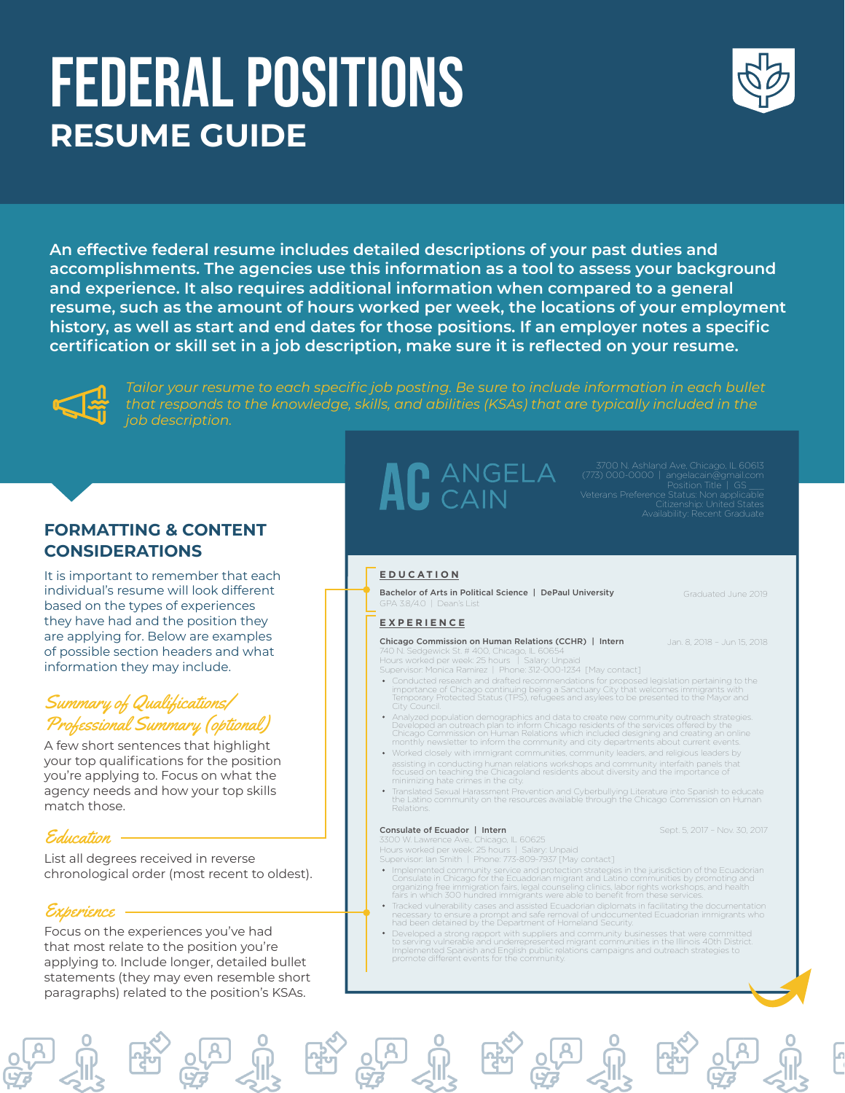## FEDERAL POSITIONS **RESUME GUIDE**



**An effective federal resume includes detailed descriptions of your past duties and accomplishments. The agencies use this information as a tool to assess your background and experience. It also requires additional information when compared to a general resume, such as the amount of hours worked per week, the locations of your employment history, as well as start and end dates for those positions. If an employer notes a specific certification or skill set in a job description, make sure it is reflected on your resume.**



*Tailor your resume to each specific job posting. Be sure to include information in each bullet that responds to the knowledge, skills, and abilities (KSAs) that are typically included in the job description.*

## **FORMATTING & CONTENT CONSIDERATIONS**

It is important to remember that each individual's resume will look different based on the types of experiences they have had and the position they are applying for. Below are examples of possible section headers and what information they may include.

## Summary of Qualifications/ Professional Summary (optional)

A few short sentences that highlight your top qualifications for the position you're applying to. Focus on what the agency needs and how your top skills match those.

## Education

List all degrees received in reverse chronological order (most recent to oldest).

## Experience

Focus on the experiences you've had that most relate to the position you're applying to. Include longer, detailed bullet statements (they may even resemble short paragraphs) related to the position's KSAs.

# AC ANGELA

#### **EDUCATION**

Bachelor of Arts in Political Science | DePaul University  $A$  3.8/4.0 | Dean's List

#### **EXPERIENCE**

Chicago Commission on Human Relations (CCHR) | Intern

740 N. Sedgewick St. # 400, Chicago, IL 60654 Hours worked per week: 25 hours | Salary: Unpaid Supervisor: Monica Ramirez | Phone: 312-000-1234 [May contact]

- 
- Conducted research and drafted recommendations for proposed legislation pertaining to the<br>importance of Chicago continuing being a Sanctuary City that welcomes immigrants with<br>Temporary Protected Status (TPS), refugees and
- Analyzed population demographics and data to create new community outreach strategies.<br>Developed an outreach plan to inform Chicago residents of the services offered by the<br>Chicago Commission on Human Relations which inclu
- Worked closely with immigrant communities, community leaders, and religious leaders by assisting in conducting human relations workshops and community interfaith panels that focused on teaching the Chicagoland residents about diversity and the importance of minimizing hate crimes in the city.
- Translated Sexual Harassment Prevention and Cyberbullying Literature into Spanish to educate the Latino community on the resources available through the Chicago Commission on Human Relations.

#### Consulate of Ecuador | Intern

Sept. 5, 2017 – Nov. 30, 2017

Graduated June 2019

Jan. 8, 2018 – Jun 15, 2018

3300 W. Lawrence Ave., Chicago, IL 60625 Hours worked per week: 25 hours | Salary: Unpaid Supervisor: Ian Smith | Phone: 773-809-7937 [May contact]

- Implemented community service and protection strategies in the jurisdiction of the Ecuadorian<br>Consulate in Chicago for the Ecuadorian migrant and Latino communities by promoting and<br>organizing free immigration fairs, legal
- Tracked vulnerability cases and assisted Ecuadorian diplomats in facilitating the documentation<br>necessary to ensure a prompt and safe removal of undocumented Ecuadorian immigrants who<br>had been detained by the Department of
- Developed a strong rapport with suppliers and community businesses that were committed<br>to serving vulnerable and underrepresented migrant communities in the Illinois 40th District.<br>Implemented Spanish and English public re